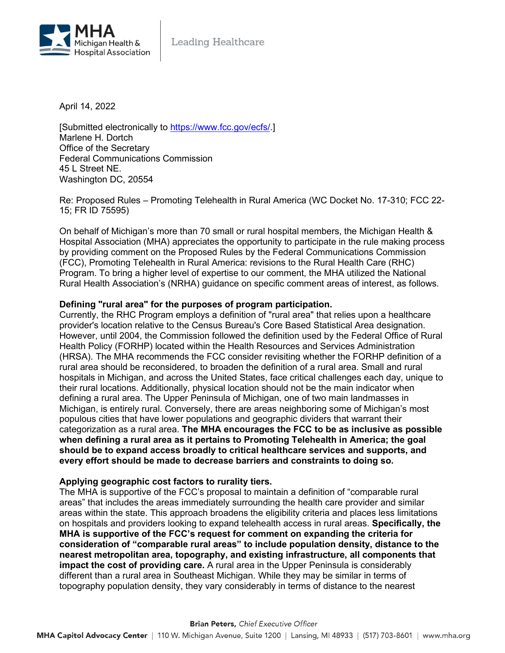

April 14, 2022

[Submitted electronically to [https://www.fcc.gov/ecfs/.](https://www.fcc.gov/ecfs/)] Marlene H. Dortch Office of the Secretary Federal Communications Commission 45 L Street NE. Washington DC, 20554

Re: Proposed Rules – Promoting Telehealth in Rural America (WC Docket No. 17-310; FCC 22- 15; FR ID 75595)

On behalf of Michigan's more than 70 small or rural hospital members, the Michigan Health & Hospital Association (MHA) appreciates the opportunity to participate in the rule making process by providing comment on the Proposed Rules by the Federal Communications Commission (FCC), Promoting Telehealth in Rural America: revisions to the Rural Health Care (RHC) Program. To bring a higher level of expertise to our comment, the MHA utilized the National Rural Health Association's (NRHA) guidance on specific comment areas of interest, as follows.

# **Defining "rural area" for the purposes of program participation.**

Currently, the RHC Program employs a definition of "rural area" that relies upon a healthcare provider's location relative to the Census Bureau's Core Based Statistical Area designation. However, until 2004, the Commission followed the definition used by the Federal Office of Rural Health Policy (FORHP) located within the Health Resources and Services Administration (HRSA). The MHA recommends the FCC consider revisiting whether the FORHP definition of a rural area should be reconsidered, to broaden the definition of a rural area. Small and rural hospitals in Michigan, and across the United States, face critical challenges each day, unique to their rural locations. Additionally, physical location should not be the main indicator when defining a rural area. The Upper Peninsula of Michigan, one of two main landmasses in Michigan, is entirely rural. Conversely, there are areas neighboring some of Michigan's most populous cities that have lower populations and geographic dividers that warrant their categorization as a rural area. **The MHA encourages the FCC to be as inclusive as possible when defining a rural area as it pertains to Promoting Telehealth in America; the goal should be to expand access broadly to critical healthcare services and supports, and every effort should be made to decrease barriers and constraints to doing so.** 

## **Applying geographic cost factors to rurality tiers.**

The MHA is supportive of the FCC's proposal to maintain a definition of "comparable rural areas" that includes the areas immediately surrounding the health care provider and similar areas within the state. This approach broadens the eligibility criteria and places less limitations on hospitals and providers looking to expand telehealth access in rural areas. **Specifically, the MHA is supportive of the FCC's request for comment on expanding the criteria for consideration of "comparable rural areas" to include population density, distance to the nearest metropolitan area, topography, and existing infrastructure, all components that impact the cost of providing care.** A rural area in the Upper Peninsula is considerably different than a rural area in Southeast Michigan. While they may be similar in terms of topography population density, they vary considerably in terms of distance to the nearest

#### **Brian Peters, Chief Executive Officer**